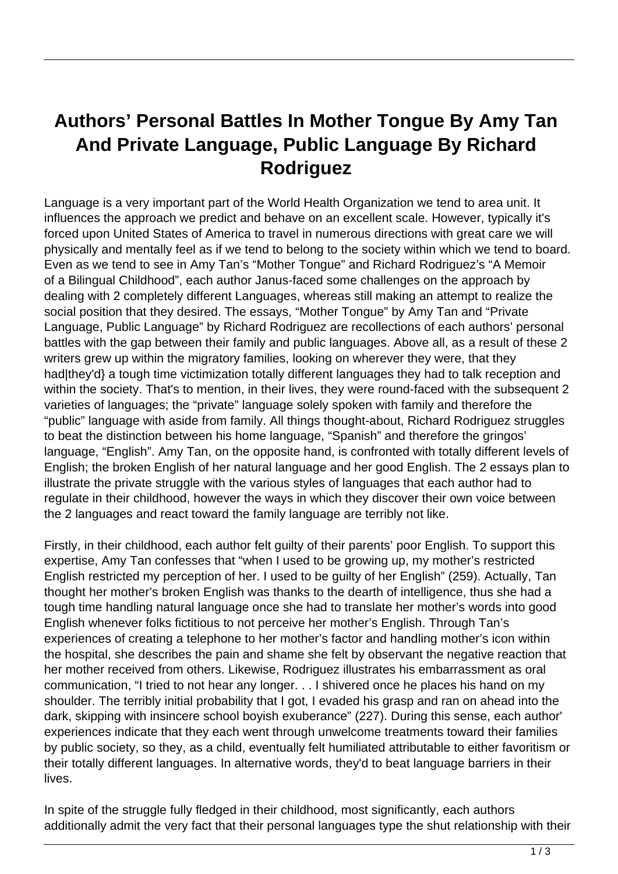## **Authors' Personal Battles In Mother Tongue By Amy Tan And Private Language, Public Language By Richard Rodriguez**

Language is a very important part of the World Health Organization we tend to area unit. It influences the approach we predict and behave on an excellent scale. However, typically it's forced upon United States of America to travel in numerous directions with great care we will physically and mentally feel as if we tend to belong to the society within which we tend to board. Even as we tend to see in Amy Tan's "Mother Tongue" and Richard Rodriguez's "A Memoir of a Bilingual Childhood", each author Janus-faced some challenges on the approach by dealing with 2 completely different Languages, whereas still making an attempt to realize the social position that they desired. The essays, "Mother Tongue" by Amy Tan and "Private Language, Public Language" by Richard Rodriguez are recollections of each authors' personal battles with the gap between their family and public languages. Above all, as a result of these 2 writers grew up within the migratory families, looking on wherever they were, that they had|they'd} a tough time victimization totally different languages they had to talk reception and within the society. That's to mention, in their lives, they were round-faced with the subsequent 2 varieties of languages; the "private" language solely spoken with family and therefore the "public" language with aside from family. All things thought-about, Richard Rodriguez struggles to beat the distinction between his home language, "Spanish" and therefore the gringos' language, "English". Amy Tan, on the opposite hand, is confronted with totally different levels of English; the broken English of her natural language and her good English. The 2 essays plan to illustrate the private struggle with the various styles of languages that each author had to regulate in their childhood, however the ways in which they discover their own voice between the 2 languages and react toward the family language are terribly not like.

Firstly, in their childhood, each author felt guilty of their parents' poor English. To support this expertise, Amy Tan confesses that "when I used to be growing up, my mother's restricted English restricted my perception of her. I used to be guilty of her English" (259). Actually, Tan thought her mother's broken English was thanks to the dearth of intelligence, thus she had a tough time handling natural language once she had to translate her mother's words into good English whenever folks fictitious to not perceive her mother's English. Through Tan's experiences of creating a telephone to her mother's factor and handling mother's icon within the hospital, she describes the pain and shame she felt by observant the negative reaction that her mother received from others. Likewise, Rodriguez illustrates his embarrassment as oral communication, "I tried to not hear any longer. . . I shivered once he places his hand on my shoulder. The terribly initial probability that I got, I evaded his grasp and ran on ahead into the dark, skipping with insincere school boyish exuberance" (227). During this sense, each author' experiences indicate that they each went through unwelcome treatments toward their families by public society, so they, as a child, eventually felt humiliated attributable to either favoritism or their totally different languages. In alternative words, they'd to beat language barriers in their lives.

In spite of the struggle fully fledged in their childhood, most significantly, each authors additionally admit the very fact that their personal languages type the shut relationship with their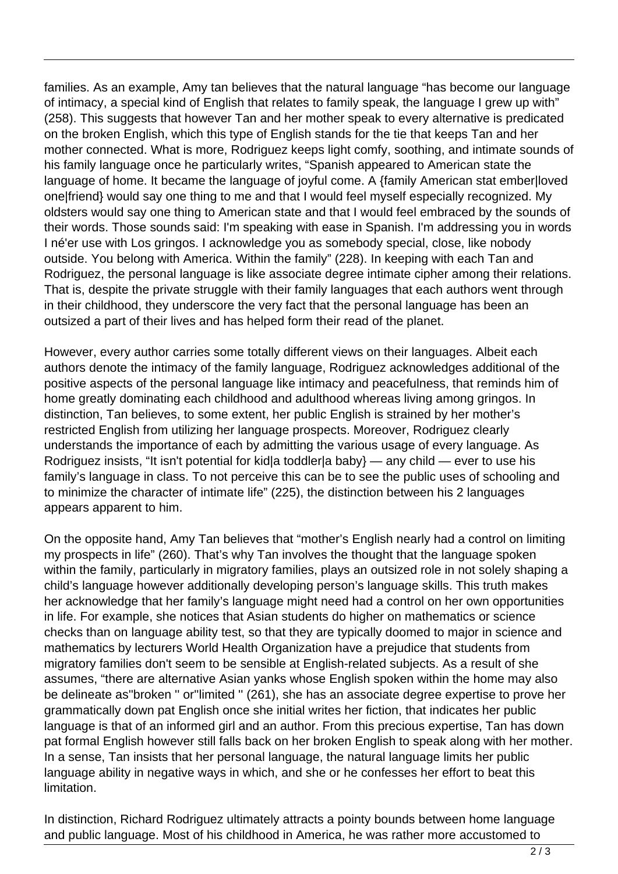families. As an example, Amy tan believes that the natural language "has become our language of intimacy, a special kind of English that relates to family speak, the language I grew up with" (258). This suggests that however Tan and her mother speak to every alternative is predicated on the broken English, which this type of English stands for the tie that keeps Tan and her mother connected. What is more, Rodriguez keeps light comfy, soothing, and intimate sounds of his family language once he particularly writes, "Spanish appeared to American state the language of home. It became the language of joyful come. A {family American stat ember|loved one|friend} would say one thing to me and that I would feel myself especially recognized. My oldsters would say one thing to American state and that I would feel embraced by the sounds of their words. Those sounds said: I'm speaking with ease in Spanish. I'm addressing you in words I né'er use with Los gringos. I acknowledge you as somebody special, close, like nobody outside. You belong with America. Within the family" (228). In keeping with each Tan and Rodriguez, the personal language is like associate degree intimate cipher among their relations. That is, despite the private struggle with their family languages that each authors went through in their childhood, they underscore the very fact that the personal language has been an outsized a part of their lives and has helped form their read of the planet.

However, every author carries some totally different views on their languages. Albeit each authors denote the intimacy of the family language, Rodriguez acknowledges additional of the positive aspects of the personal language like intimacy and peacefulness, that reminds him of home greatly dominating each childhood and adulthood whereas living among gringos. In distinction, Tan believes, to some extent, her public English is strained by her mother's restricted English from utilizing her language prospects. Moreover, Rodriguez clearly understands the importance of each by admitting the various usage of every language. As Rodriguez insists, "It isn't potential for kid|a toddler|a baby} — any child — ever to use his family's language in class. To not perceive this can be to see the public uses of schooling and to minimize the character of intimate life" (225), the distinction between his 2 languages appears apparent to him.

On the opposite hand, Amy Tan believes that "mother's English nearly had a control on limiting my prospects in life" (260). That's why Tan involves the thought that the language spoken within the family, particularly in migratory families, plays an outsized role in not solely shaping a child's language however additionally developing person's language skills. This truth makes her acknowledge that her family's language might need had a control on her own opportunities in life. For example, she notices that Asian students do higher on mathematics or science checks than on language ability test, so that they are typically doomed to major in science and mathematics by lecturers World Health Organization have a prejudice that students from migratory families don't seem to be sensible at English-related subjects. As a result of she assumes, "there are alternative Asian yanks whose English spoken within the home may also be delineate as''broken '' or''limited '' (261), she has an associate degree expertise to prove her grammatically down pat English once she initial writes her fiction, that indicates her public language is that of an informed girl and an author. From this precious expertise, Tan has down pat formal English however still falls back on her broken English to speak along with her mother. In a sense, Tan insists that her personal language, the natural language limits her public language ability in negative ways in which, and she or he confesses her effort to beat this limitation.

In distinction, Richard Rodriguez ultimately attracts a pointy bounds between home language and public language. Most of his childhood in America, he was rather more accustomed to